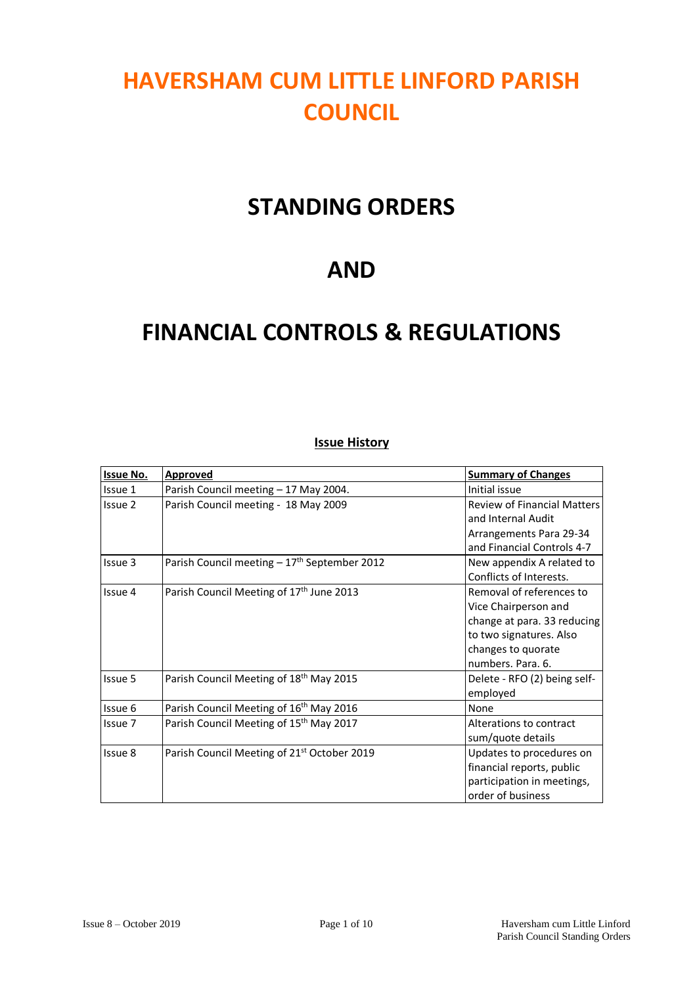# **HAVERSHAM CUM LITTLE LINFORD PARISH COUNCIL**

## **STANDING ORDERS**

## **AND**

## **FINANCIAL CONTROLS & REGULATIONS**

### **Issue History**

| <b>Issue No.</b> | <b>Approved</b>                                         | <b>Summary of Changes</b>                                                                                                                             |
|------------------|---------------------------------------------------------|-------------------------------------------------------------------------------------------------------------------------------------------------------|
| Issue 1          | Parish Council meeting - 17 May 2004.                   | Initial issue                                                                                                                                         |
| Issue 2          | Parish Council meeting - 18 May 2009                    | <b>Review of Financial Matters</b><br>and Internal Audit<br>Arrangements Para 29-34<br>and Financial Controls 4-7                                     |
| Issue 3          | Parish Council meeting $-17th$ September 2012           | New appendix A related to<br>Conflicts of Interests.                                                                                                  |
| Issue 4          | Parish Council Meeting of 17 <sup>th</sup> June 2013    | Removal of references to<br>Vice Chairperson and<br>change at para. 33 reducing<br>to two signatures. Also<br>changes to quorate<br>numbers. Para. 6. |
| Issue 5          | Parish Council Meeting of 18 <sup>th</sup> May 2015     | Delete - RFO (2) being self-<br>employed                                                                                                              |
| Issue 6          | Parish Council Meeting of 16 <sup>th</sup> May 2016     | None                                                                                                                                                  |
| Issue 7          | Parish Council Meeting of 15 <sup>th</sup> May 2017     | Alterations to contract<br>sum/quote details                                                                                                          |
| Issue 8          | Parish Council Meeting of 21 <sup>st</sup> October 2019 | Updates to procedures on<br>financial reports, public<br>participation in meetings,<br>order of business                                              |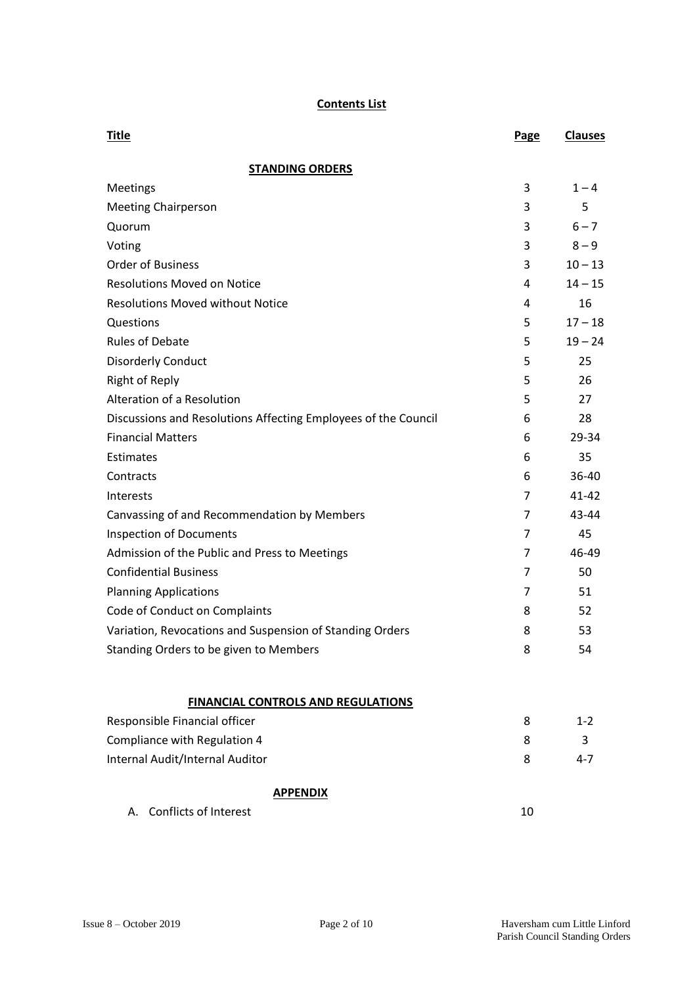#### **Contents List**

| <b>Title</b>                                                   | Page           | <b>Clauses</b> |
|----------------------------------------------------------------|----------------|----------------|
| <b>STANDING ORDERS</b>                                         |                |                |
| Meetings                                                       | 3              | $1 - 4$        |
| <b>Meeting Chairperson</b>                                     | 3              | 5              |
| Quorum                                                         | 3              | $6 - 7$        |
| Voting                                                         | 3              | $8 - 9$        |
| <b>Order of Business</b>                                       | 3              | $10 - 13$      |
| <b>Resolutions Moved on Notice</b>                             | 4              | $14 - 15$      |
| <b>Resolutions Moved without Notice</b>                        | 4              | 16             |
| Questions                                                      | 5              | $17 - 18$      |
| <b>Rules of Debate</b>                                         | 5              | $19 - 24$      |
| <b>Disorderly Conduct</b>                                      | 5              | 25             |
| <b>Right of Reply</b>                                          | 5              | 26             |
| Alteration of a Resolution                                     | 5              | 27             |
| Discussions and Resolutions Affecting Employees of the Council | 6              | 28             |
| <b>Financial Matters</b>                                       | 6              | 29-34          |
| Estimates                                                      | 6              | 35             |
| Contracts                                                      | 6              | 36-40          |
| Interests                                                      | $\overline{7}$ | 41-42          |
| Canvassing of and Recommendation by Members                    | $\overline{7}$ | 43-44          |
| <b>Inspection of Documents</b>                                 | 7              | 45             |
| Admission of the Public and Press to Meetings                  | 7              | 46-49          |
| <b>Confidential Business</b>                                   | 7              | 50             |
| <b>Planning Applications</b>                                   | 7              | 51             |
| Code of Conduct on Complaints                                  | 8              | 52             |
| Variation, Revocations and Suspension of Standing Orders       | 8              | 53             |
| Standing Orders to be given to Members                         | 8              | 54             |
| <b>FINANCIAL CONTROLS AND REGULATIONS</b>                      |                |                |
| Responsible Financial officer                                  | 8              | $1 - 2$        |
| Compliance with Regulation 4                                   | 8              | 3              |
| Internal Audit/Internal Auditor                                | 8              | $4 - 7$        |
| <b>APPENDIX</b>                                                |                |                |
| Conflicts of Interest<br>А.                                    | 10             |                |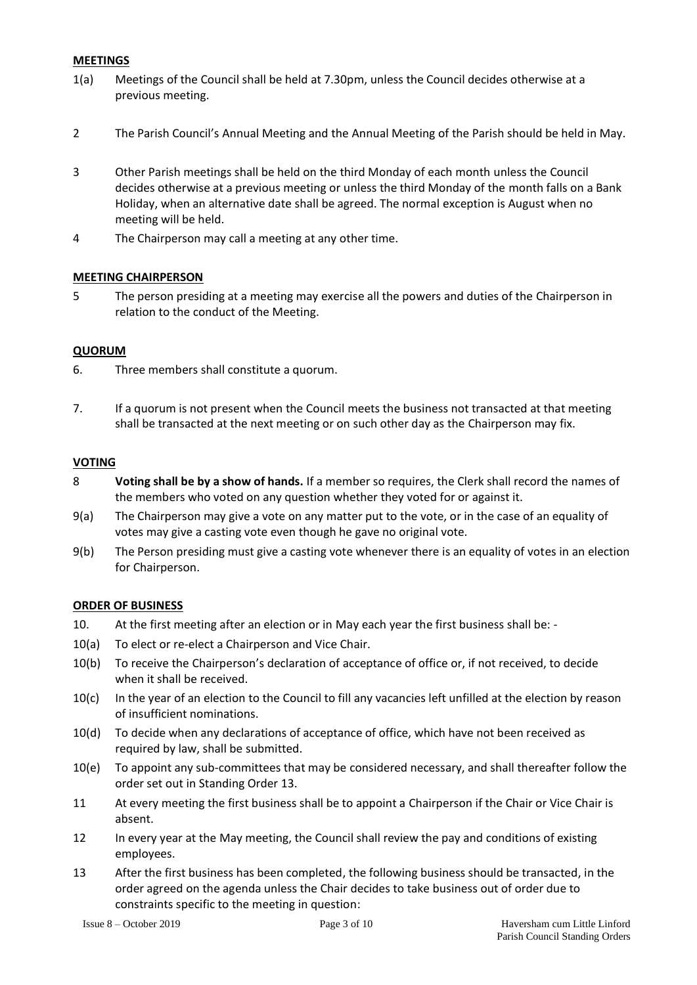#### **MEETINGS**

- 1(a) Meetings of the Council shall be held at 7.30pm, unless the Council decides otherwise at a previous meeting.
- 2 The Parish Council's Annual Meeting and the Annual Meeting of the Parish should be held in May.
- 3 Other Parish meetings shall be held on the third Monday of each month unless the Council decides otherwise at a previous meeting or unless the third Monday of the month falls on a Bank Holiday, when an alternative date shall be agreed. The normal exception is August when no meeting will be held.
- 4 The Chairperson may call a meeting at any other time.

#### **MEETING CHAIRPERSON**

5 The person presiding at a meeting may exercise all the powers and duties of the Chairperson in relation to the conduct of the Meeting.

#### **QUORUM**

- 6. Three members shall constitute a quorum.
- 7. If a quorum is not present when the Council meets the business not transacted at that meeting shall be transacted at the next meeting or on such other day as the Chairperson may fix.

#### **VOTING**

- 8 **Voting shall be by a show of hands.** If a member so requires, the Clerk shall record the names of the members who voted on any question whether they voted for or against it.
- 9(a) The Chairperson may give a vote on any matter put to the vote, or in the case of an equality of votes may give a casting vote even though he gave no original vote.
- 9(b) The Person presiding must give a casting vote whenever there is an equality of votes in an election for Chairperson.

#### **ORDER OF BUSINESS**

- 10. At the first meeting after an election or in May each year the first business shall be: -
- 10(a) To elect or re-elect a Chairperson and Vice Chair.
- 10(b) To receive the Chairperson's declaration of acceptance of office or, if not received, to decide when it shall be received.
- 10(c) In the year of an election to the Council to fill any vacancies left unfilled at the election by reason of insufficient nominations.
- 10(d) To decide when any declarations of acceptance of office, which have not been received as required by law, shall be submitted.
- 10(e) To appoint any sub-committees that may be considered necessary, and shall thereafter follow the order set out in Standing Order 13.
- 11 At every meeting the first business shall be to appoint a Chairperson if the Chair or Vice Chair is absent.
- 12 In every year at the May meeting, the Council shall review the pay and conditions of existing employees.
- 13 After the first business has been completed, the following business should be transacted, in the order agreed on the agenda unless the Chair decides to take business out of order due to constraints specific to the meeting in question: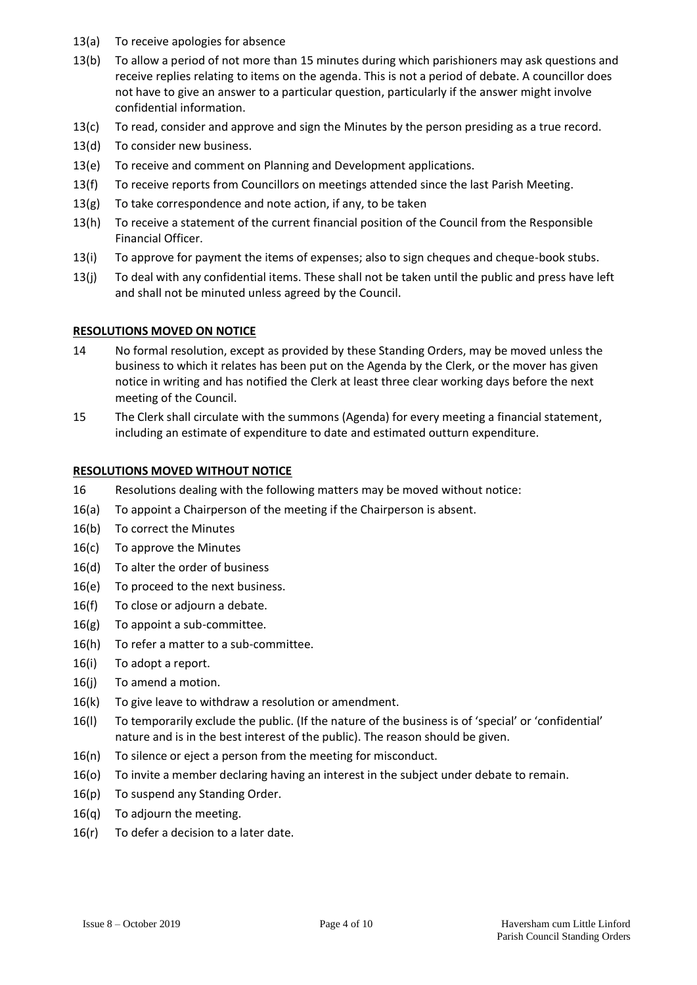- 13(a) To receive apologies for absence
- 13(b) To allow a period of not more than 15 minutes during which parishioners may ask questions and receive replies relating to items on the agenda. This is not a period of debate. A councillor does not have to give an answer to a particular question, particularly if the answer might involve confidential information.
- 13(c) To read, consider and approve and sign the Minutes by the person presiding as a true record.
- 13(d) To consider new business.
- 13(e) To receive and comment on Planning and Development applications.
- 13(f) To receive reports from Councillors on meetings attended since the last Parish Meeting.
- 13(g) To take correspondence and note action, if any, to be taken
- 13(h) To receive a statement of the current financial position of the Council from the Responsible Financial Officer.
- 13(i) To approve for payment the items of expenses; also to sign cheques and cheque-book stubs.
- 13(j) To deal with any confidential items. These shall not be taken until the public and press have left and shall not be minuted unless agreed by the Council.

#### **RESOLUTIONS MOVED ON NOTICE**

- 14 No formal resolution, except as provided by these Standing Orders, may be moved unless the business to which it relates has been put on the Agenda by the Clerk, or the mover has given notice in writing and has notified the Clerk at least three clear working days before the next meeting of the Council.
- 15 The Clerk shall circulate with the summons (Agenda) for every meeting a financial statement, including an estimate of expenditure to date and estimated outturn expenditure.

#### **RESOLUTIONS MOVED WITHOUT NOTICE**

- 16 Resolutions dealing with the following matters may be moved without notice:
- 16(a) To appoint a Chairperson of the meeting if the Chairperson is absent.
- 16(b) To correct the Minutes
- 16(c) To approve the Minutes
- 16(d) To alter the order of business
- 16(e) To proceed to the next business.
- 16(f) To close or adjourn a debate.
- 16(g) To appoint a sub-committee.
- 16(h) To refer a matter to a sub-committee.
- 16(i) To adopt a report.
- 16(j) To amend a motion.
- 16(k) To give leave to withdraw a resolution or amendment.
- 16(l) To temporarily exclude the public. (If the nature of the business is of 'special' or 'confidential' nature and is in the best interest of the public). The reason should be given.
- 16(n) To silence or eject a person from the meeting for misconduct.
- 16(o) To invite a member declaring having an interest in the subject under debate to remain.
- 16(p) To suspend any Standing Order.
- 16(q) To adjourn the meeting.
- $16(r)$  To defer a decision to a later date.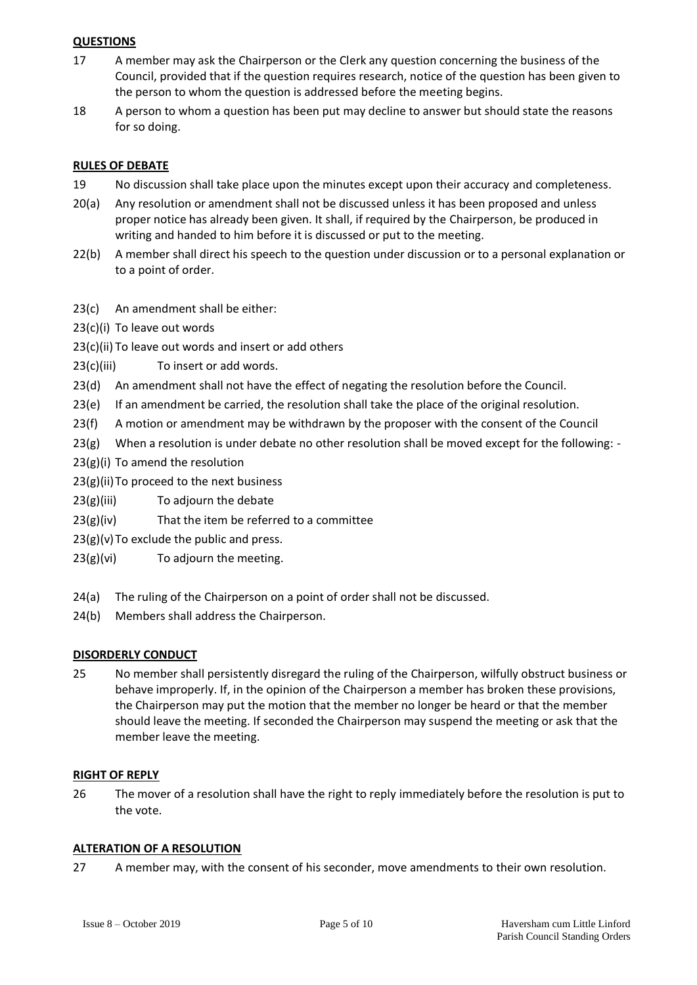#### **QUESTIONS**

- 17 A member may ask the Chairperson or the Clerk any question concerning the business of the Council, provided that if the question requires research, notice of the question has been given to the person to whom the question is addressed before the meeting begins.
- 18 A person to whom a question has been put may decline to answer but should state the reasons for so doing.

#### **RULES OF DEBATE**

- 19 No discussion shall take place upon the minutes except upon their accuracy and completeness.
- 20(a) Any resolution or amendment shall not be discussed unless it has been proposed and unless proper notice has already been given. It shall, if required by the Chairperson, be produced in writing and handed to him before it is discussed or put to the meeting.
- 22(b) A member shall direct his speech to the question under discussion or to a personal explanation or to a point of order.
- 23(c) An amendment shall be either:
- 23(c)(i) To leave out words
- 23(c)(ii) To leave out words and insert or add others
- 23(c)(iii) To insert or add words.
- 23(d) An amendment shall not have the effect of negating the resolution before the Council.
- 23(e) If an amendment be carried, the resolution shall take the place of the original resolution.
- 23(f) A motion or amendment may be withdrawn by the proposer with the consent of the Council
- $23(g)$  When a resolution is under debate no other resolution shall be moved except for the following: -
- 23(g)(i) To amend the resolution
- $23(g)(ii)$ To proceed to the next business
- $23(g)(iii)$  To adjourn the debate
- $23(g)(iv)$  That the item be referred to a committee
- $23(g)(v)$  To exclude the public and press.
- 23(g)(vi) To adjourn the meeting.
- 24(a) The ruling of the Chairperson on a point of order shall not be discussed.
- 24(b) Members shall address the Chairperson.

#### **DISORDERLY CONDUCT**

25 No member shall persistently disregard the ruling of the Chairperson, wilfully obstruct business or behave improperly. If, in the opinion of the Chairperson a member has broken these provisions, the Chairperson may put the motion that the member no longer be heard or that the member should leave the meeting. If seconded the Chairperson may suspend the meeting or ask that the member leave the meeting.

#### **RIGHT OF REPLY**

26 The mover of a resolution shall have the right to reply immediately before the resolution is put to the vote.

#### **ALTERATION OF A RESOLUTION**

27 A member may, with the consent of his seconder, move amendments to their own resolution.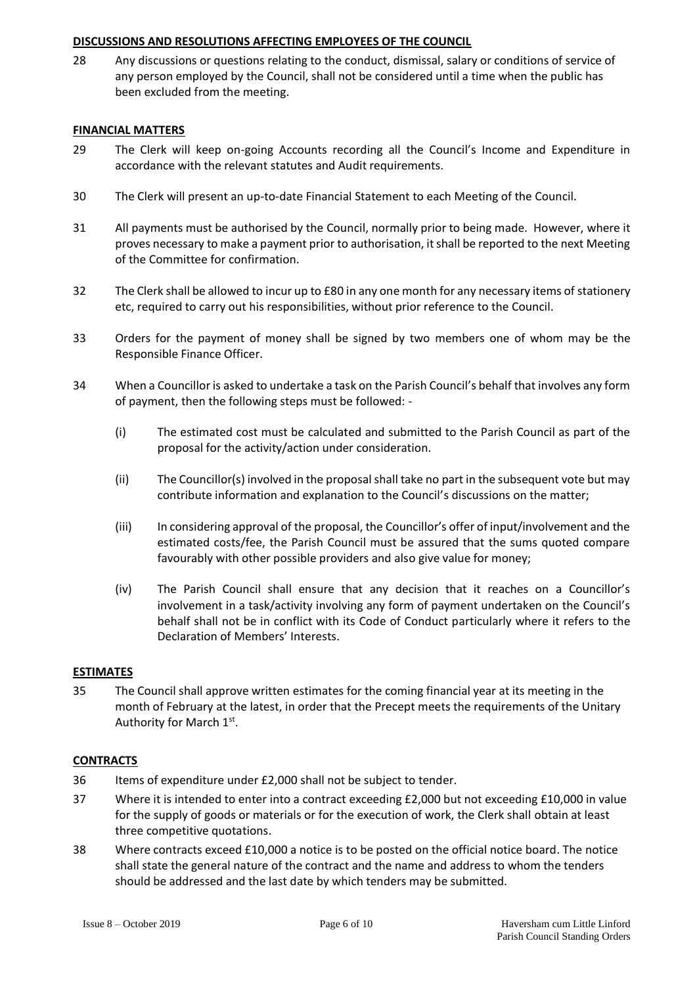#### **DISCUSSIONS AND RESOLUTIONS AFFECTING EMPLOYEES OF THE COUNCIL**

28 Any discussions or questions relating to the conduct, dismissal, salary or conditions of service of any person employed by the Council, shall not be considered until a time when the public has been excluded from the meeting.

#### **FINANCIAL MATTERS**

- 29 The Clerk will keep on-going Accounts recording all the Council's Income and Expenditure in accordance with the relevant statutes and Audit requirements.
- 30 The Clerk will present an up-to-date Financial Statement to each Meeting of the Council.
- 31 All payments must be authorised by the Council, normally prior to being made. However, where it proves necessary to make a payment prior to authorisation, it shall be reported to the next Meeting of the Committee for confirmation.
- 32 The Clerk shall be allowed to incur up to £80 in any one month for any necessary items of stationery etc, required to carry out his responsibilities, without prior reference to the Council.
- 33 Orders for the payment of money shall be signed by two members one of whom may be the Responsible Finance Officer.
- 34 When a Councillor is asked to undertake a task on the Parish Council's behalf that involves any form of payment, then the following steps must be followed: -
	- (i) The estimated cost must be calculated and submitted to the Parish Council as part of the proposal for the activity/action under consideration.
	- (ii) The Councillor(s) involved in the proposal shall take no part in the subsequent vote but may contribute information and explanation to the Council's discussions on the matter;
	- (iii) In considering approval of the proposal, the Councillor's offer of input/involvement and the estimated costs/fee, the Parish Council must be assured that the sums quoted compare favourably with other possible providers and also give value for money;
	- (iv) The Parish Council shall ensure that any decision that it reaches on a Councillor's involvement in a task/activity involving any form of payment undertaken on the Council's behalf shall not be in conflict with its Code of Conduct particularly where it refers to the Declaration of Members' Interests.

#### **ESTIMATES**

35 The Council shall approve written estimates for the coming financial year at its meeting in the month of February at the latest, in order that the Precept meets the requirements of the Unitary Authority for March 1st.

#### **CONTRACTS**

- 36 Items of expenditure under £2,000 shall not be subject to tender.
- 37 Where it is intended to enter into a contract exceeding £2,000 but not exceeding £10,000 in value for the supply of goods or materials or for the execution of work, the Clerk shall obtain at least three competitive quotations.
- 38 Where contracts exceed £10,000 a notice is to be posted on the official notice board. The notice shall state the general nature of the contract and the name and address to whom the tenders should be addressed and the last date by which tenders may be submitted.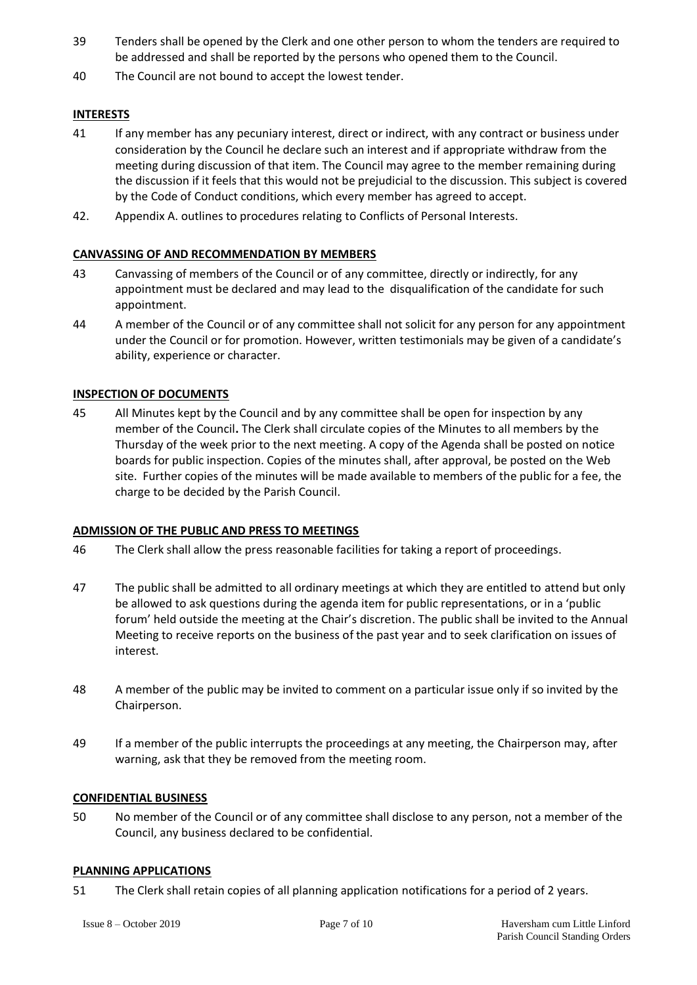- 39 Tenders shall be opened by the Clerk and one other person to whom the tenders are required to be addressed and shall be reported by the persons who opened them to the Council.
- 40 The Council are not bound to accept the lowest tender.

### **INTERESTS**

- 41 If any member has any pecuniary interest, direct or indirect, with any contract or business under consideration by the Council he declare such an interest and if appropriate withdraw from the meeting during discussion of that item. The Council may agree to the member remaining during the discussion if it feels that this would not be prejudicial to the discussion. This subject is covered by the Code of Conduct conditions, which every member has agreed to accept.
- 42. Appendix A. outlines to procedures relating to Conflicts of Personal Interests.

#### **CANVASSING OF AND RECOMMENDATION BY MEMBERS**

- 43 Canvassing of members of the Council or of any committee, directly or indirectly, for any appointment must be declared and may lead to the disqualification of the candidate for such appointment.
- 44 A member of the Council or of any committee shall not solicit for any person for any appointment under the Council or for promotion. However, written testimonials may be given of a candidate's ability, experience or character.

#### **INSPECTION OF DOCUMENTS**

45 All Minutes kept by the Council and by any committee shall be open for inspection by any member of the Council**.** The Clerk shall circulate copies of the Minutes to all members by the Thursday of the week prior to the next meeting. A copy of the Agenda shall be posted on notice boards for public inspection. Copies of the minutes shall, after approval, be posted on the Web site. Further copies of the minutes will be made available to members of the public for a fee, the charge to be decided by the Parish Council.

#### **ADMISSION OF THE PUBLIC AND PRESS TO MEETINGS**

- 46 The Clerk shall allow the press reasonable facilities for taking a report of proceedings.
- 47 The public shall be admitted to all ordinary meetings at which they are entitled to attend but only be allowed to ask questions during the agenda item for public representations, or in a 'public forum' held outside the meeting at the Chair's discretion. The public shall be invited to the Annual Meeting to receive reports on the business of the past year and to seek clarification on issues of interest.
- 48 A member of the public may be invited to comment on a particular issue only if so invited by the Chairperson.
- 49 If a member of the public interrupts the proceedings at any meeting, the Chairperson may, after warning, ask that they be removed from the meeting room.

#### **CONFIDENTIAL BUSINESS**

50 No member of the Council or of any committee shall disclose to any person, not a member of the Council, any business declared to be confidential.

#### **PLANNING APPLICATIONS**

51 The Clerk shall retain copies of all planning application notifications for a period of 2 years.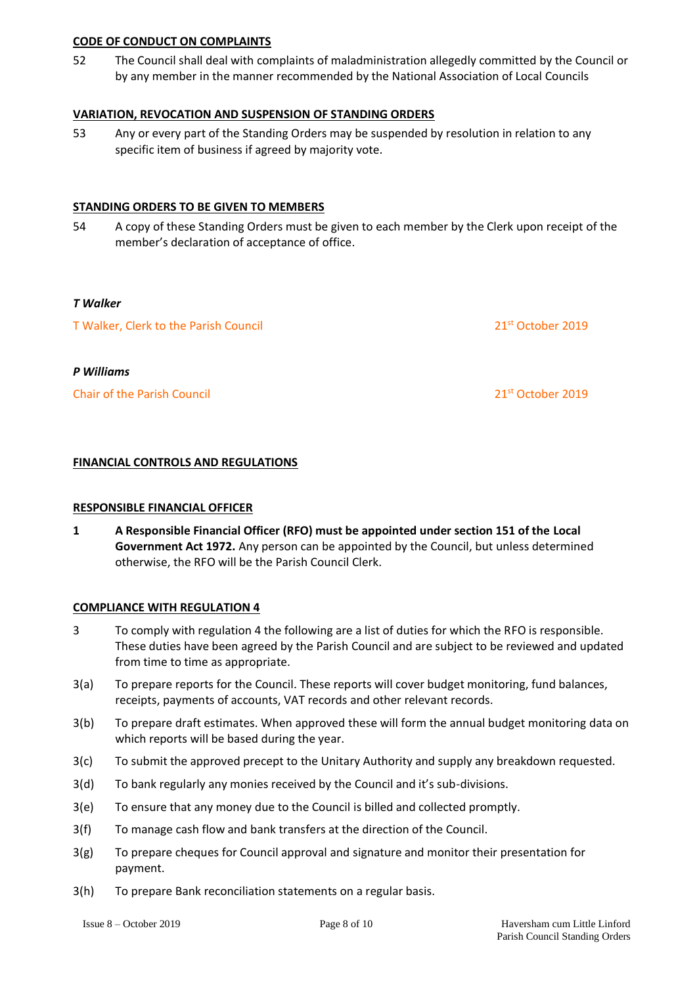#### **CODE OF CONDUCT ON COMPLAINTS**

52 The Council shall deal with complaints of maladministration allegedly committed by the Council or by any member in the manner recommended by the National Association of Local Councils

#### **VARIATION, REVOCATION AND SUSPENSION OF STANDING ORDERS**

53 Any or every part of the Standing Orders may be suspended by resolution in relation to any specific item of business if agreed by majority vote.

#### **STANDING ORDERS TO BE GIVEN TO MEMBERS**

54 A copy of these Standing Orders must be given to each member by the Clerk upon receipt of the member's declaration of acceptance of office.

#### *T Walker*

| T Walker, Clerk to the Parish Council | 21 <sup>st</sup> October 2019 |
|---------------------------------------|-------------------------------|
|                                       |                               |

#### *P Williams*

Chair of the Parish Council 21st October 2019

### **FINANCIAL CONTROLS AND REGULATIONS**

#### **RESPONSIBLE FINANCIAL OFFICER**

**1 A Responsible Financial Officer (RFO) must be appointed under section 151 of the Local Government Act 1972.** Any person can be appointed by the Council, but unless determined otherwise, the RFO will be the Parish Council Clerk.

#### **COMPLIANCE WITH REGULATION 4**

- 3 To comply with regulation 4 the following are a list of duties for which the RFO is responsible. These duties have been agreed by the Parish Council and are subject to be reviewed and updated from time to time as appropriate.
- 3(a) To prepare reports for the Council. These reports will cover budget monitoring, fund balances, receipts, payments of accounts, VAT records and other relevant records.
- 3(b) To prepare draft estimates. When approved these will form the annual budget monitoring data on which reports will be based during the year.
- 3(c) To submit the approved precept to the Unitary Authority and supply any breakdown requested.
- 3(d) To bank regularly any monies received by the Council and it's sub-divisions.
- 3(e) To ensure that any money due to the Council is billed and collected promptly.
- 3(f) To manage cash flow and bank transfers at the direction of the Council.
- 3(g) To prepare cheques for Council approval and signature and monitor their presentation for payment.
- 3(h) To prepare Bank reconciliation statements on a regular basis.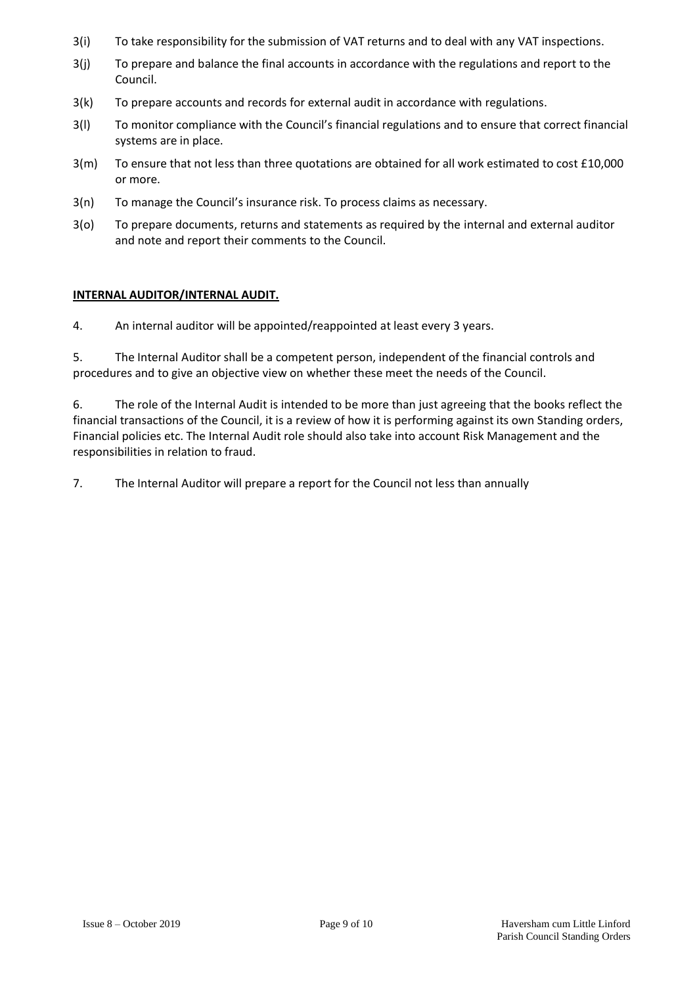- 3(i) To take responsibility for the submission of VAT returns and to deal with any VAT inspections.
- 3(j) To prepare and balance the final accounts in accordance with the regulations and report to the Council.
- 3(k) To prepare accounts and records for external audit in accordance with regulations.
- 3(l) To monitor compliance with the Council's financial regulations and to ensure that correct financial systems are in place.
- 3(m) To ensure that not less than three quotations are obtained for all work estimated to cost £10,000 or more.
- 3(n) To manage the Council's insurance risk. To process claims as necessary.
- 3(o) To prepare documents, returns and statements as required by the internal and external auditor and note and report their comments to the Council.

#### **INTERNAL AUDITOR/INTERNAL AUDIT.**

4. An internal auditor will be appointed/reappointed at least every 3 years.

5. The Internal Auditor shall be a competent person, independent of the financial controls and procedures and to give an objective view on whether these meet the needs of the Council.

6. The role of the Internal Audit is intended to be more than just agreeing that the books reflect the financial transactions of the Council, it is a review of how it is performing against its own Standing orders, Financial policies etc. The Internal Audit role should also take into account Risk Management and the responsibilities in relation to fraud.

7. The Internal Auditor will prepare a report for the Council not less than annually